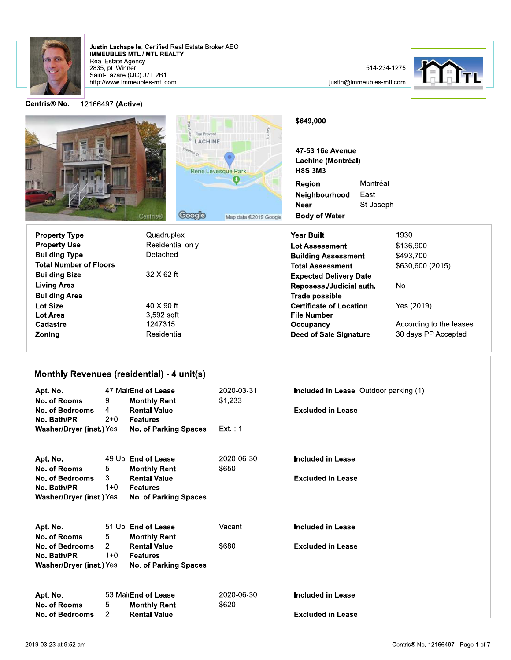

Justin Lachapelle, Certified Real Estate Broker AEO<br>IMMEUBLES MTL / MTL REALTY Real Estate Agency 2835, pl. Winner Saint-Lazare (QC) J7T 2B1<br>http://www.immeubles-mtl.com

514-234-1275

justin@immeubles-mtl.com



Centris<sup>®</sup> No.

12166497 (Active)

|                               | Rue Provost<br><b>LACHINE</b><br><b>Rene Levesque Park</b> |               | \$649,000<br>47-53 16e Avenue<br>Lachine (Montréal)<br><b>H8S 3M3</b> |                                                         |                               |                  |  |
|-------------------------------|------------------------------------------------------------|---------------|-----------------------------------------------------------------------|---------------------------------------------------------|-------------------------------|------------------|--|
|                               | Centris®                                                   | <b>Google</b> | Map data @2019 Google                                                 | Region<br>Neighbourhood<br>Near<br><b>Body of Water</b> | Montréal<br>East<br>St-Joseph |                  |  |
| <b>Property Type</b>          | Quadruplex                                                 |               |                                                                       | <b>Year Built</b>                                       |                               | 1930             |  |
| <b>Property Use</b>           | Residential only                                           |               | <b>Lot Assessment</b>                                                 |                                                         | \$136,900                     |                  |  |
| <b>Building Type</b>          | Detached                                                   |               |                                                                       | <b>Building Assessment</b>                              |                               | \$493,700        |  |
| <b>Total Number of Floors</b> |                                                            |               |                                                                       | <b>Total Assessment</b>                                 |                               | \$630,600 (2015) |  |
| <b>Duilding City</b>          | $22 \times 62 +$                                           |               |                                                                       |                                                         |                               |                  |  |

| <b>Building Size</b> | $32 \times 62$ ft |                                |                         |
|----------------------|-------------------|--------------------------------|-------------------------|
|                      |                   | <b>Expected Delivery Date</b>  |                         |
| <b>Living Area</b>   |                   | Reposess./Judicial auth.       | No                      |
| <b>Building Area</b> |                   | Trade possible                 |                         |
| <b>Lot Size</b>      | 40 X 90 ft        | <b>Certificate of Location</b> | Yes (2019)              |
| Lot Area             | 3,592 sqft        | <b>File Number</b>             |                         |
| Cadastre             | 1247315           | Occupancy                      | According to the leases |
| Zoning               | Residential       | Deed of Sale Signature         | 30 days PP Accepted     |
|                      |                   |                                |                         |

## Monthly Revenues (residential) - 4 unit(s)

| Apt. No.<br>No. of Rooms<br>No. of Bedrooms<br>No. Bath/PR<br>Washer/Dryer (inst.) Yes | 9<br>4<br>2+0           | 47 MairEnd of Lease<br><b>Monthly Rent</b><br><b>Rental Value</b><br><b>Features</b><br>No. of Parking Spaces | 2020-03-31<br>\$1,233<br>Ext. : 1 | <b>Included in Lease</b> Outdoor parking (1)<br><b>Excluded in Lease</b> |
|----------------------------------------------------------------------------------------|-------------------------|---------------------------------------------------------------------------------------------------------------|-----------------------------------|--------------------------------------------------------------------------|
| Apt. No.                                                                               |                         | 49 Up End of Lease                                                                                            | 2020-06-30                        | Included in Lease                                                        |
| No. of Rooms<br>No. of Bedrooms<br>No. Bath/PR<br>Washer/Dryer (inst.) Yes             | 5<br>3<br>1+0           | <b>Monthly Rent</b><br><b>Rental Value</b><br><b>Features</b><br><b>No. of Parking Spaces</b>                 | \$650                             | <b>Excluded in Lease</b>                                                 |
| Apt. No.                                                                               |                         | 51 Up End of Lease                                                                                            | Vacant                            | <b>Included in Lease</b>                                                 |
| No. of Rooms<br>No. of Bedrooms<br>No. Bath/PR<br>Washer/Dryer (inst.) Yes             | 5<br>$2^{\circ}$<br>1+0 | <b>Monthly Rent</b><br><b>Rental Value</b><br><b>Features</b>                                                 | \$680                             | <b>Excluded in Lease</b>                                                 |
|                                                                                        |                         | <b>No. of Parking Spaces</b>                                                                                  |                                   |                                                                          |
| Apt. No.<br>No. of Rooms                                                               | 5                       | 53 MairEnd of Lease                                                                                           | 2020-06-30<br>\$620               | <b>Included in Lease</b>                                                 |
| No. of Bedrooms                                                                        | 2                       | <b>Monthly Rent</b><br><b>Rental Value</b>                                                                    |                                   | <b>Excluded in Lease</b>                                                 |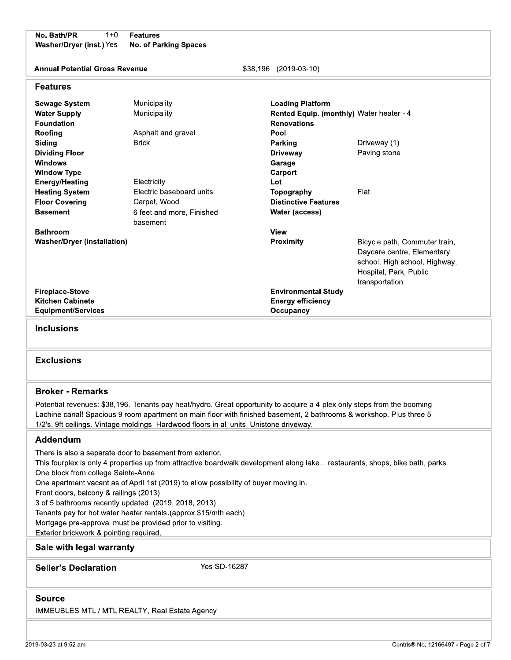No. Bath/PR  $1 + 0$ Washer/Dryer (inst.) Yes

**Features No. of Parking Spaces** 

**Annual Potential Gross Revenue** 

\$38,196 (2019-03-10)

#### **Features**

| <b>Sewage System</b><br><b>Water Supply</b> | Municipality<br>Municipality       | <b>Loading Platform</b><br><b>Rented Equip. (monthly)</b> Water heater - 4 |                               |
|---------------------------------------------|------------------------------------|----------------------------------------------------------------------------|-------------------------------|
| <b>Foundation</b>                           |                                    | <b>Renovations</b>                                                         |                               |
| Roofing<br>Siding                           | Asphalt and gravel<br><b>Brick</b> | Pool                                                                       | Driveway (1)                  |
|                                             |                                    | Parking                                                                    | Paving stone                  |
| <b>Dividing Floor</b><br><b>Windows</b>     |                                    | <b>Driveway</b>                                                            |                               |
| <b>Window Type</b>                          |                                    | Garage<br>Carport                                                          |                               |
| <b>Energy/Heating</b>                       | Electricity                        | Lot                                                                        |                               |
| <b>Heating System</b>                       | Electric baseboard units           | Topography                                                                 | Flat                          |
| <b>Floor Covering</b>                       | Carpet, Wood                       | <b>Distinctive Features</b>                                                |                               |
| <b>Basement</b>                             | 6 feet and more, Finished          | Water (access)                                                             |                               |
|                                             | basement                           |                                                                            |                               |
| <b>Bathroom</b>                             |                                    | <b>View</b>                                                                |                               |
| <b>Washer/Dryer (installation)</b>          |                                    | <b>Proximity</b>                                                           | Bicycle path, Commuter train, |
|                                             |                                    |                                                                            | Daycare centre, Elementary    |
|                                             |                                    |                                                                            | school, High school, Highway, |
|                                             |                                    |                                                                            | Hospital, Park, Public        |
|                                             |                                    |                                                                            | transportation                |
| <b>Fireplace-Stove</b>                      |                                    | <b>Environmental Study</b>                                                 |                               |
| <b>Kitchen Cabinets</b>                     |                                    | <b>Energy efficiency</b>                                                   |                               |
| <b>Equipment/Services</b>                   |                                    | Occupancy                                                                  |                               |

**Inclusions** 

#### **Exclusions**

#### **Broker - Remarks**

Potential revenues: \$38,196. Tenants pay heat/hydro. Great opportunity to acquire a 4-plex only steps from the booming Lachine canal! Spacious 9 room apartment on main floor with finished basement, 2 bathrooms & workshop. Plus three 5 1/2's. 9ft ceilings. Vintage moldings. Hardwood floors in all units. Unistone driveway.

#### Addendum

There is also a separate door to basement from exterior.

This fourplex is only 4 properties up from attractive boardwalk development along lake... restaurants, shops, bike bath, parks. One block from college Sainte-Anne.

One apartment vacant as of April 1st (2019) to allow possibility of buyer moving in.

Front doors, balcony & railings (2013)

3 of 5 bathrooms recently updated. (2019, 2018, 2013)

Tenants pay for hot water heater rentals.(approx \$15/mth each)

Mortgage pre-approval must be provided prior to visiting.

Exterior brickwork & pointing required.

#### Sale with legal warranty

**Seller's Declaration** 

Yes SD-16287

#### **Source**

IMMEUBLES MTL / MTL REALTY, Real Estate Agency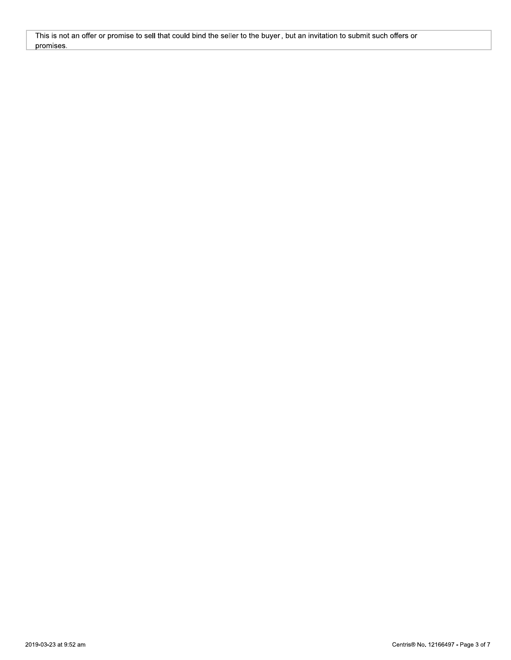This is not an offer or promise to sell that could bind the seller to the buyer, but an invitation to submit such offers or promises.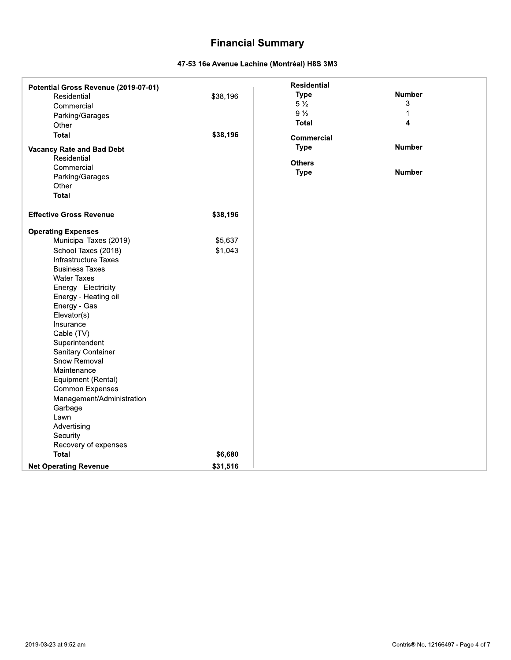# **Financial Summary**

### 47-53 16e Avenue Lachine (Montréal) H8S 3M3

| Potential Gross Revenue (2019-07-01)<br>Residential<br>Commercial<br>Parking/Garages<br>Other<br><b>Total</b><br><b>Vacancy Rate and Bad Debt</b><br>Residential<br>Commercial<br>Parking/Garages                                                                                                                                                                                                                                                                                     | \$38,196<br>\$38,196 | <b>Residential</b><br><b>Type</b><br>$5\frac{1}{2}$<br>$9\frac{1}{2}$<br><b>Total</b><br><b>Commercial</b><br><b>Type</b><br><b>Others</b><br><b>Type</b> | <b>Number</b><br>3<br>1<br>4<br><b>Number</b><br><b>Number</b> |  |
|---------------------------------------------------------------------------------------------------------------------------------------------------------------------------------------------------------------------------------------------------------------------------------------------------------------------------------------------------------------------------------------------------------------------------------------------------------------------------------------|----------------------|-----------------------------------------------------------------------------------------------------------------------------------------------------------|----------------------------------------------------------------|--|
| Other<br><b>Total</b>                                                                                                                                                                                                                                                                                                                                                                                                                                                                 |                      |                                                                                                                                                           |                                                                |  |
| <b>Effective Gross Revenue</b>                                                                                                                                                                                                                                                                                                                                                                                                                                                        | \$38,196             |                                                                                                                                                           |                                                                |  |
| <b>Operating Expenses</b><br>Municipal Taxes (2019)<br>School Taxes (2018)<br>Infrastructure Taxes<br><b>Business Taxes</b><br><b>Water Taxes</b><br>Energy - Electricity<br>Energy - Heating oil<br>Energy - Gas<br>Elevator(s)<br>Insurance<br>Cable (TV)<br>Superintendent<br>Sanitary Container<br>Snow Removal<br>Maintenance<br>Equipment (Rental)<br><b>Common Expenses</b><br>Management/Administration<br>Garbage<br>Lawn<br>Advertising<br>Security<br>Recovery of expenses | \$5,637<br>\$1,043   |                                                                                                                                                           |                                                                |  |
| <b>Total</b>                                                                                                                                                                                                                                                                                                                                                                                                                                                                          | \$6,680              |                                                                                                                                                           |                                                                |  |
| <b>Net Operating Revenue</b>                                                                                                                                                                                                                                                                                                                                                                                                                                                          | \$31,516             |                                                                                                                                                           |                                                                |  |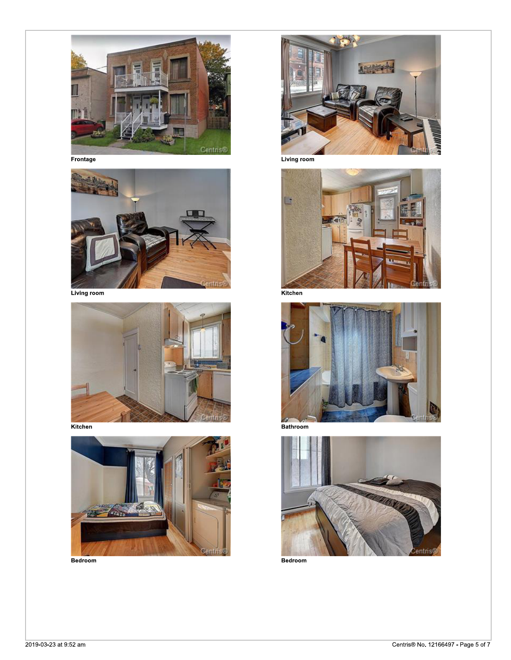

Frontage



Living room



Kitchen



Bedroom



Living room



Kitchen



Bathroom



Bedroom

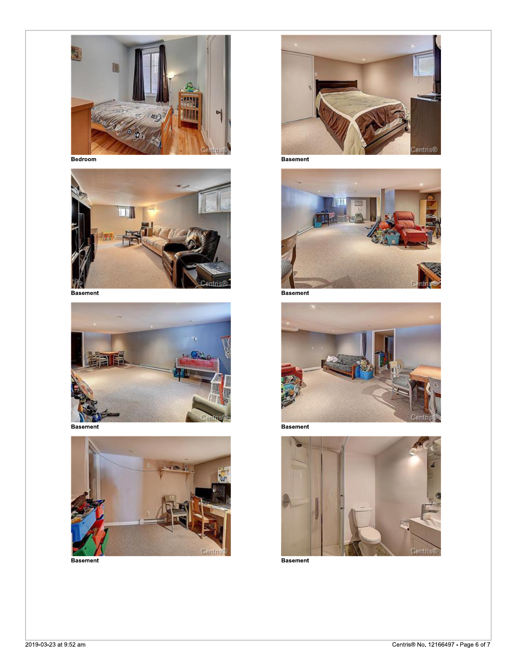

Bedroom





**Basement** 



**Basement** 



**Basement** 



**Basement** 



**Basement** 



**Basement**